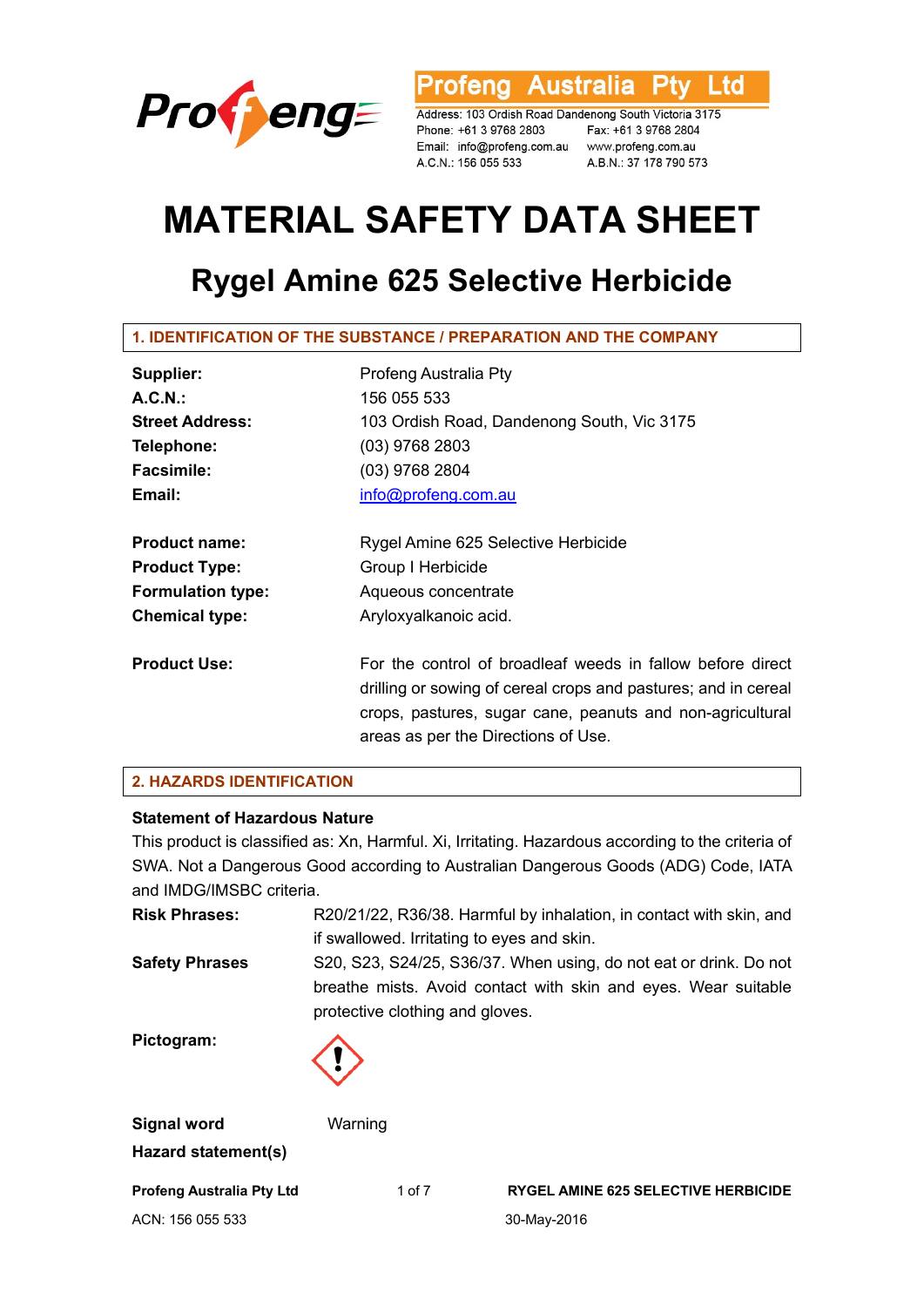

rofeng Australia Ptv Ltd

Address: 103 Ordish Road Dandenong South Victoria 3175 Phone: +61 3 9768 2803 Fax: +61 3 9768 2804 Email: info@profeng.com.au www.profeng.com.au A.C.N.: 156 055 533

A.B.N.: 37 178 790 573

# **MATERIAL SAFETY DATA SHEET**

# **Rygel Amine 625 Selective Herbicide**

**1. IDENTIFICATION OF THE SUBSTANCE / PREPARATION AND THE COMPANY** 

| Supplier:                | Profeng Australia Pty                                                                                                                                                                                                            |  |  |
|--------------------------|----------------------------------------------------------------------------------------------------------------------------------------------------------------------------------------------------------------------------------|--|--|
| A.C.N.                   | 156 055 533                                                                                                                                                                                                                      |  |  |
| <b>Street Address:</b>   | 103 Ordish Road, Dandenong South, Vic 3175                                                                                                                                                                                       |  |  |
| Telephone:               | $(03)$ 9768 2803                                                                                                                                                                                                                 |  |  |
| <b>Facsimile:</b>        | $(03)$ 9768 2804                                                                                                                                                                                                                 |  |  |
| Email:                   | info@profeng.com.au                                                                                                                                                                                                              |  |  |
| <b>Product name:</b>     | Rygel Amine 625 Selective Herbicide                                                                                                                                                                                              |  |  |
| <b>Product Type:</b>     | Group I Herbicide                                                                                                                                                                                                                |  |  |
| <b>Formulation type:</b> | Aqueous concentrate                                                                                                                                                                                                              |  |  |
| <b>Chemical type:</b>    | Aryloxyalkanoic acid.                                                                                                                                                                                                            |  |  |
| <b>Product Use:</b>      | For the control of broadleaf weeds in fallow before direct<br>drilling or sowing of cereal crops and pastures; and in cereal<br>crops, pastures, sugar cane, peanuts and non-agricultural<br>areas as per the Directions of Use. |  |  |

# **2. HAZARDS IDENTIFICATION**

#### **Statement of Hazardous Nature**

This product is classified as: Xn, Harmful. Xi, Irritating. Hazardous according to the criteria of SWA. Not a Dangerous Good according to Australian Dangerous Goods (ADG) Code, IATA and IMDG/IMSBC criteria.

| <b>Risk Phrases:</b>                      | if swallowed. Irritating to eyes and skin. | R20/21/22, R36/38. Harmful by inhalation, in contact with skin, and                                                                 |
|-------------------------------------------|--------------------------------------------|-------------------------------------------------------------------------------------------------------------------------------------|
| <b>Safety Phrases</b>                     | protective clothing and gloves.            | S20, S23, S24/25, S36/37. When using, do not eat or drink. Do not<br>breathe mists. Avoid contact with skin and eyes. Wear suitable |
| Pictogram:                                |                                            |                                                                                                                                     |
| <b>Signal word</b><br>Hazard statement(s) | Warning                                    |                                                                                                                                     |
| <b>Profeng Australia Pty Ltd</b>          | 1 of 7                                     | <b>RYGEL AMINE 625 SELECTIVE HERBICIDE</b>                                                                                          |

ACN: 156 055 533 30-May-2016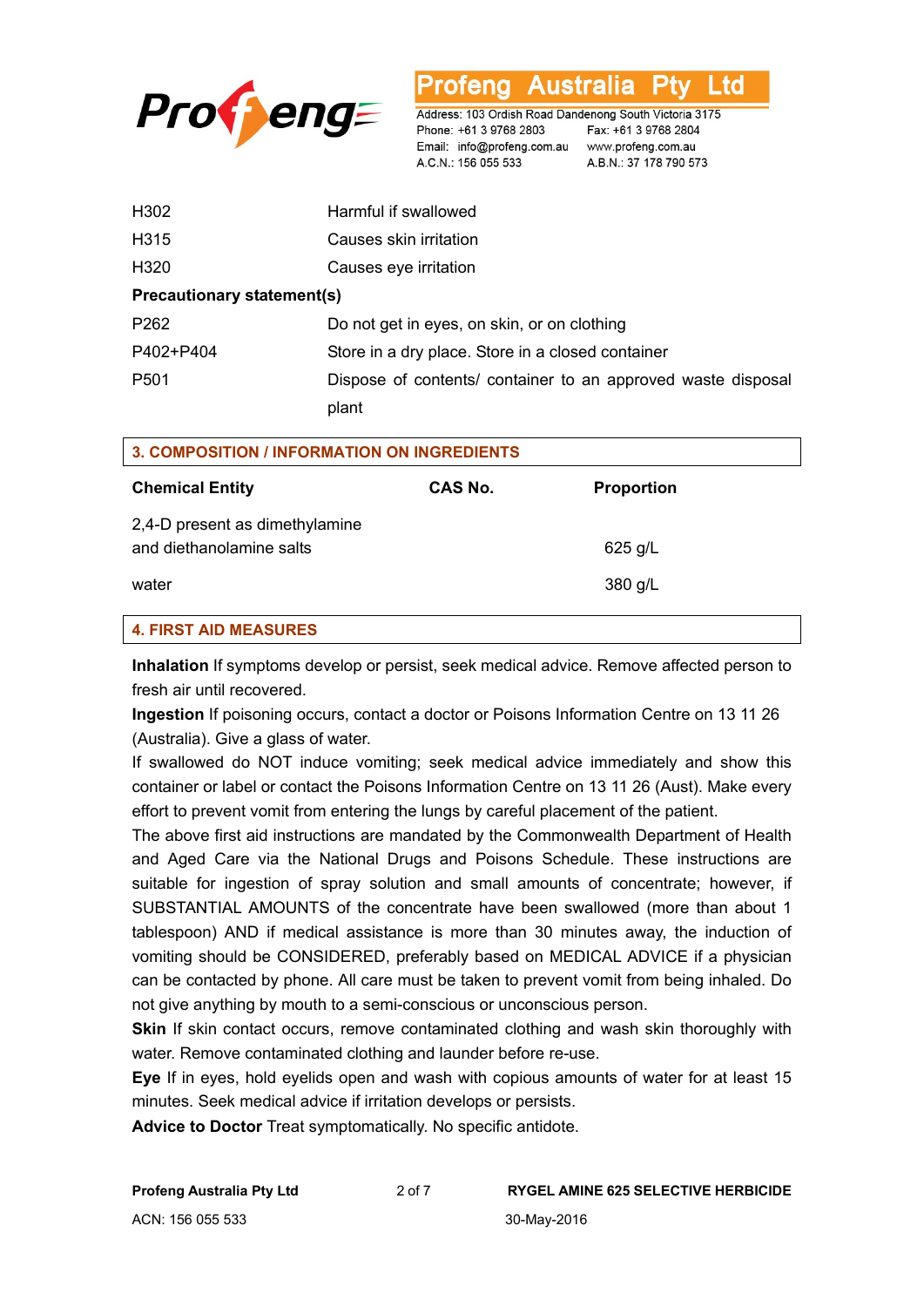

H302 Harmful if swallowed H315 Causes skin irritation H320 Causes eye irritation **Precautionary statement(s)**  P262 Do not get in eyes, on skin, or on clothing P402+P404 Store in a dry place. Store in a closed container P501 Dispose of contents/ container to an approved waste disposal plant

Phone: +61 3 9768 2803

A.C.N.: 156 055 533

Australia

Fax: +61 3 9768 2804

A.B.N.: 37 178 790 573

Address: 103 Ordish Road Dandenong South Victoria 3175

Email: info@profeng.com.au www.profeng.com.au

Ltd

| 3. COMPOSITION / INFORMATION ON INGREDIENTS                |         |                   |  |
|------------------------------------------------------------|---------|-------------------|--|
| <b>Chemical Entity</b>                                     | CAS No. | <b>Proportion</b> |  |
| 2,4-D present as dimethylamine<br>and diethanolamine salts |         | $625$ g/L         |  |
| water                                                      |         | 380 g/L           |  |
| <b>4. FIRST AID MEASURES</b>                               |         |                   |  |

**Inhalation** If symptoms develop or persist, seek medical advice. Remove affected person to fresh air until recovered.

**Ingestion** If poisoning occurs, contact a doctor or Poisons Information Centre on 13 11 26 (Australia). Give a glass of water.

If swallowed do NOT induce vomiting; seek medical advice immediately and show this container or label or contact the Poisons Information Centre on 13 11 26 (Aust). Make every effort to prevent vomit from entering the lungs by careful placement of the patient.

The above first aid instructions are mandated by the Commonwealth Department of Health and Aged Care via the National Drugs and Poisons Schedule. These instructions are suitable for ingestion of spray solution and small amounts of concentrate; however, if SUBSTANTIAL AMOUNTS of the concentrate have been swallowed (more than about 1 tablespoon) AND if medical assistance is more than 30 minutes away, the induction of vomiting should be CONSIDERED, preferably based on MEDICAL ADVICE if a physician can be contacted by phone. All care must be taken to prevent vomit from being inhaled. Do not give anything by mouth to a semi-conscious or unconscious person.

**Skin** If skin contact occurs, remove contaminated clothing and wash skin thoroughly with water. Remove contaminated clothing and launder before re-use.

**Eye** If in eyes, hold eyelids open and wash with copious amounts of water for at least 15 minutes. Seek medical advice if irritation develops or persists.

**Advice to Doctor** Treat symptomatically. No specific antidote.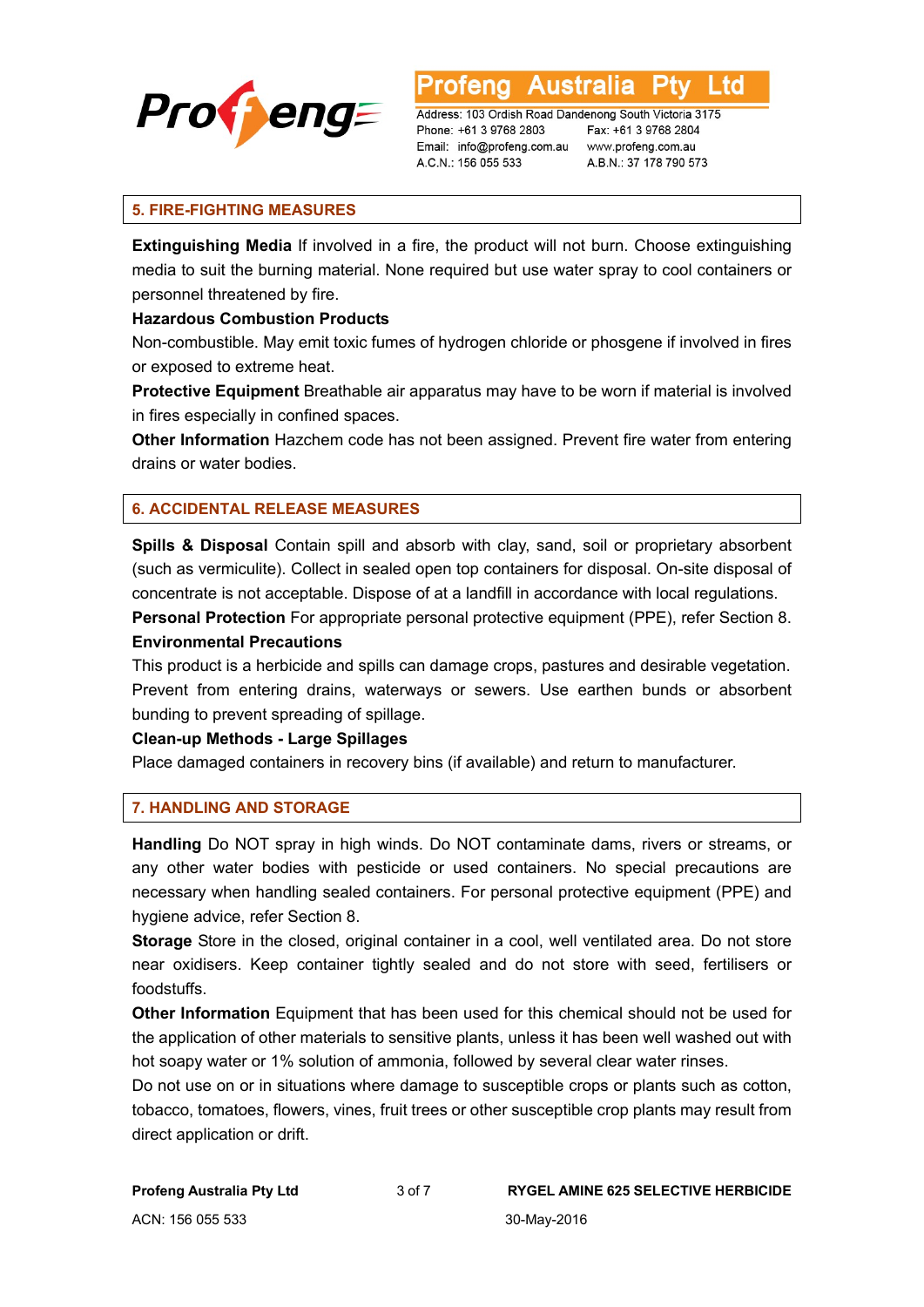

Australia ∟td

Address: 103 Ordish Road Dandenong South Victoria 3175 Phone: +61 3 9768 2803 Email: info@profeng.com.au www.profeng.com.au A.C.N.: 156 055 533

Fax: +61 3 9768 2804 A.B.N.: 37 178 790 573

### **5. FIRE-FIGHTING MEASURES**

**Extinguishing Media** If involved in a fire, the product will not burn. Choose extinguishing media to suit the burning material. None required but use water spray to cool containers or personnel threatened by fire.

#### **Hazardous Combustion Products**

Non-combustible. May emit toxic fumes of hydrogen chloride or phosgene if involved in fires or exposed to extreme heat.

**Protective Equipment** Breathable air apparatus may have to be worn if material is involved in fires especially in confined spaces.

**Other Information** Hazchem code has not been assigned. Prevent fire water from entering drains or water bodies.

# **6. ACCIDENTAL RELEASE MEASURES**

**Spills & Disposal** Contain spill and absorb with clay, sand, soil or proprietary absorbent (such as vermiculite). Collect in sealed open top containers for disposal. On-site disposal of concentrate is not acceptable. Dispose of at a landfill in accordance with local regulations.

**Personal Protection** For appropriate personal protective equipment (PPE), refer Section 8. **Environmental Precautions** 

This product is a herbicide and spills can damage crops, pastures and desirable vegetation. Prevent from entering drains, waterways or sewers. Use earthen bunds or absorbent bunding to prevent spreading of spillage.

#### **Clean-up Methods - Large Spillages**

Place damaged containers in recovery bins (if available) and return to manufacturer.

#### **7. HANDLING AND STORAGE**

**Handling** Do NOT spray in high winds. Do NOT contaminate dams, rivers or streams, or any other water bodies with pesticide or used containers. No special precautions are necessary when handling sealed containers. For personal protective equipment (PPE) and hygiene advice, refer Section 8.

**Storage** Store in the closed, original container in a cool, well ventilated area. Do not store near oxidisers. Keep container tightly sealed and do not store with seed, fertilisers or foodstuffs.

**Other Information** Equipment that has been used for this chemical should not be used for the application of other materials to sensitive plants, unless it has been well washed out with hot soapy water or 1% solution of ammonia, followed by several clear water rinses.

Do not use on or in situations where damage to susceptible crops or plants such as cotton, tobacco, tomatoes, flowers, vines, fruit trees or other susceptible crop plants may result from direct application or drift.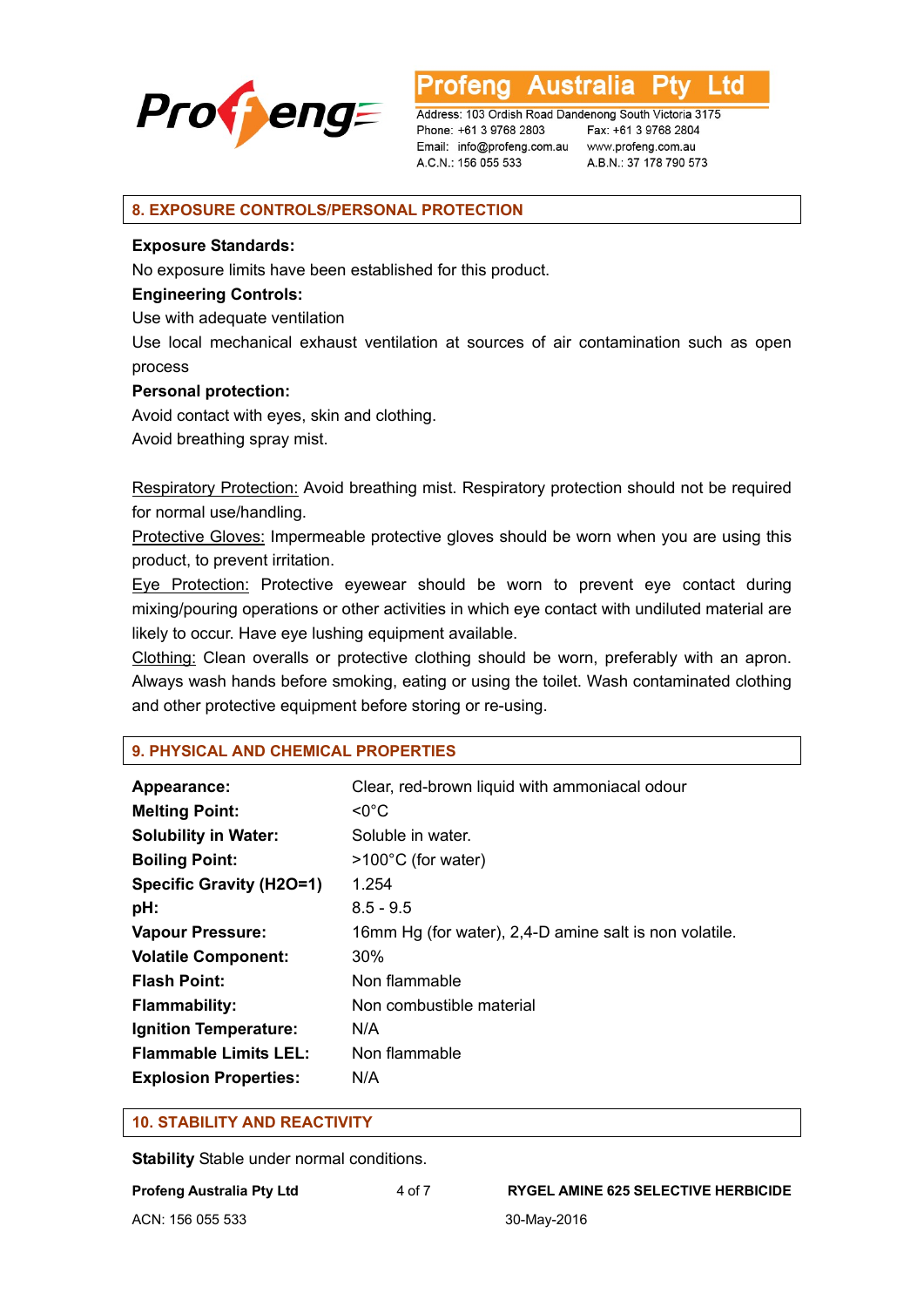

**Australia** Ptv Ltd rotena

Address: 103 Ordish Road Dandenong South Victoria 3175 Phone: +61 3 9768 2803 Email: info@profeng.com.au www.profeng.com.au A.C.N.: 156 055 533

Fax: +61 3 9768 2804 A.B.N.: 37 178 790 573

#### **8. EXPOSURE CONTROLS/PERSONAL PROTECTION**

#### **Exposure Standards:**

No exposure limits have been established for this product.

#### **Engineering Controls:**

Use with adequate ventilation

Use local mechanical exhaust ventilation at sources of air contamination such as open process

#### **Personal protection:**

Avoid contact with eyes, skin and clothing.

Avoid breathing spray mist.

Respiratory Protection: Avoid breathing mist. Respiratory protection should not be required for normal use/handling.

Protective Gloves: Impermeable protective gloves should be worn when you are using this product, to prevent irritation.

Eye Protection: Protective eyewear should be worn to prevent eye contact during mixing/pouring operations or other activities in which eye contact with undiluted material are likely to occur. Have eye lushing equipment available.

Clothing: Clean overalls or protective clothing should be worn, preferably with an apron. Always wash hands before smoking, eating or using the toilet. Wash contaminated clothing and other protective equipment before storing or re-using.

#### **9. PHYSICAL AND CHEMICAL PROPERTIES**

| Appearance:                  | Clear, red-brown liquid with ammoniacal odour          |  |  |
|------------------------------|--------------------------------------------------------|--|--|
| <b>Melting Point:</b>        | $\mathsf{<}0^{\circ}\mathsf{C}$                        |  |  |
| <b>Solubility in Water:</b>  | Soluble in water.                                      |  |  |
| <b>Boiling Point:</b>        | $>100^{\circ}$ C (for water)                           |  |  |
| Specific Gravity (H2O=1)     | 1.254                                                  |  |  |
| pH:                          | $8.5 - 9.5$                                            |  |  |
| <b>Vapour Pressure:</b>      | 16mm Hg (for water), 2,4-D amine salt is non volatile. |  |  |
| <b>Volatile Component:</b>   | $30\%$                                                 |  |  |
| <b>Flash Point:</b>          | Non flammable                                          |  |  |
| <b>Flammability:</b>         | Non combustible material                               |  |  |
| Ignition Temperature:        | N/A                                                    |  |  |
| <b>Flammable Limits LEL:</b> | Non flammable                                          |  |  |
| <b>Explosion Properties:</b> | N/A                                                    |  |  |

#### **10. STABILITY AND REACTIVITY**

**Stability** Stable under normal conditions.

| Profeng Australia Pty Ltd | 4 of 7 |
|---------------------------|--------|
| ACN: 156 055 533          |        |

#### **RYGEL AMINE 625 SELECTIVE HERBICIDE**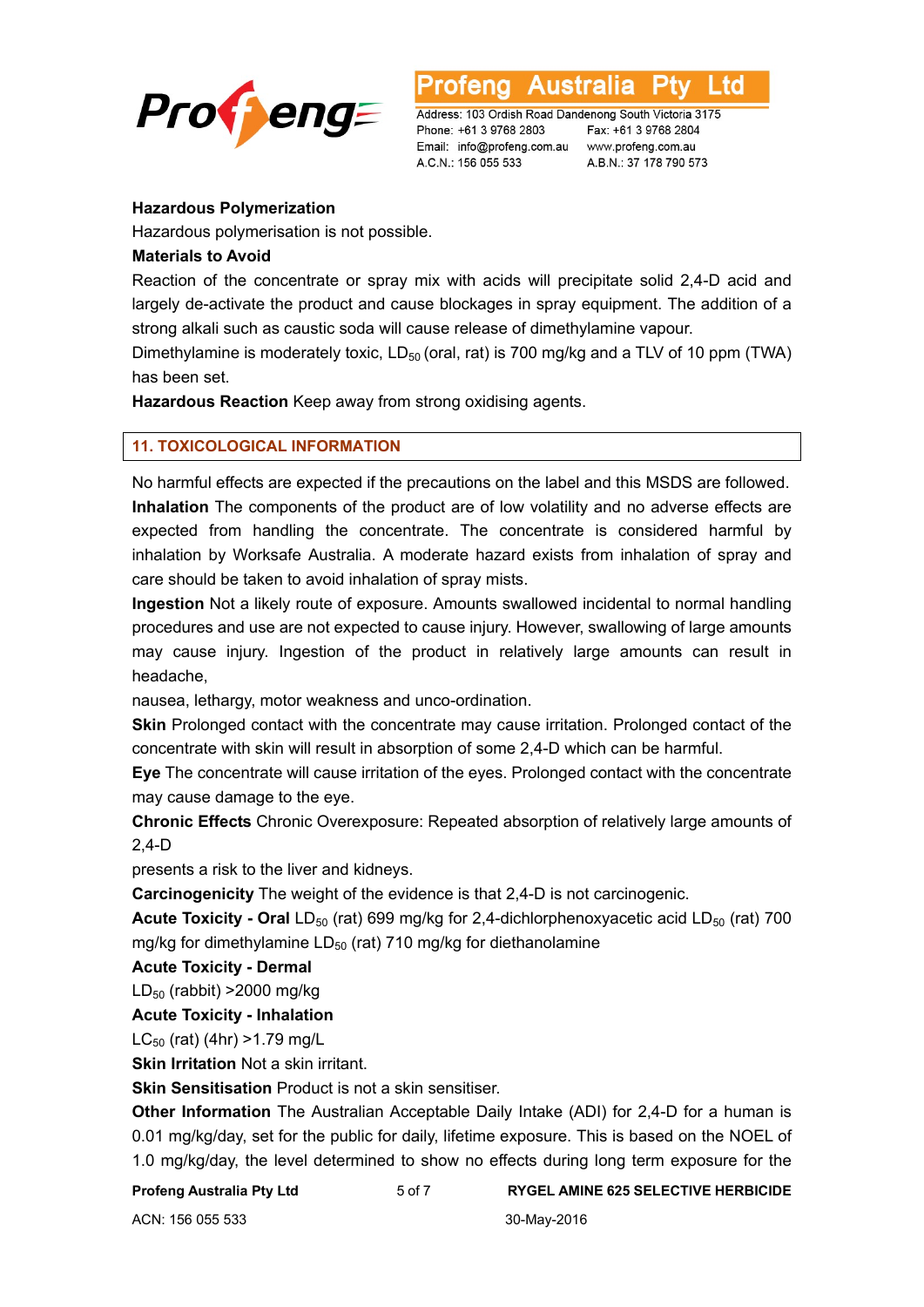

∟td

Address: 103 Ordish Road Dandenong South Victoria 3175 Phone: +61 3 9768 2803 Email: info@profeng.com.au www.profeng.com.au A.C.N.: 156 055 533

Fax: +61 3 9768 2804 A.B.N.: 37 178 790 573

#### **Hazardous Polymerization**

Hazardous polymerisation is not possible.

## **Materials to Avoid**

Reaction of the concentrate or spray mix with acids will precipitate solid 2,4-D acid and largely de-activate the product and cause blockages in spray equipment. The addition of a strong alkali such as caustic soda will cause release of dimethylamine vapour.

Dimethylamine is moderately toxic,  $LD_{50}$  (oral, rat) is 700 mg/kg and a TLV of 10 ppm (TWA) has been set.

**Hazardous Reaction** Keep away from strong oxidising agents.

### **11. TOXICOLOGICAL INFORMATION**

No harmful effects are expected if the precautions on the label and this MSDS are followed. **Inhalation** The components of the product are of low volatility and no adverse effects are expected from handling the concentrate. The concentrate is considered harmful by inhalation by Worksafe Australia. A moderate hazard exists from inhalation of spray and care should be taken to avoid inhalation of spray mists.

**Ingestion** Not a likely route of exposure. Amounts swallowed incidental to normal handling procedures and use are not expected to cause injury. However, swallowing of large amounts may cause injury. Ingestion of the product in relatively large amounts can result in headache,

nausea, lethargy, motor weakness and unco-ordination.

**Skin** Prolonged contact with the concentrate may cause irritation. Prolonged contact of the concentrate with skin will result in absorption of some 2,4-D which can be harmful.

**Eye** The concentrate will cause irritation of the eyes. Prolonged contact with the concentrate may cause damage to the eye.

**Chronic Effects** Chronic Overexposure: Repeated absorption of relatively large amounts of 2,4-D

presents a risk to the liver and kidneys.

**Carcinogenicity** The weight of the evidence is that 2,4-D is not carcinogenic.

**Acute Toxicity - Oral LD<sub>50</sub>** (rat) 699 mg/kg for 2,4-dichlorphenoxyacetic acid LD<sub>50</sub> (rat) 700 mg/kg for dimethylamine  $LD_{50}$  (rat) 710 mg/kg for diethanolamine

**Acute Toxicity - Dermal** 

 $LD_{50}$  (rabbit) >2000 mg/kg

**Acute Toxicity - Inhalation** 

 $LC_{50}$  (rat) (4hr) > 1.79 mg/L

**Skin Irritation** Not a skin irritant.

**Skin Sensitisation** Product is not a skin sensitiser.

**Other Information** The Australian Acceptable Daily Intake (ADI) for 2,4-D for a human is 0.01 mg/kg/day, set for the public for daily, lifetime exposure. This is based on the NOEL of 1.0 mg/kg/day, the level determined to show no effects during long term exposure for the

**Profeng Australia Pty Ltd** 5 of 7 **RYGEL AMINE 625 SELECTIVE HERBICIDE**

ACN: 156 055 533 30-May-2016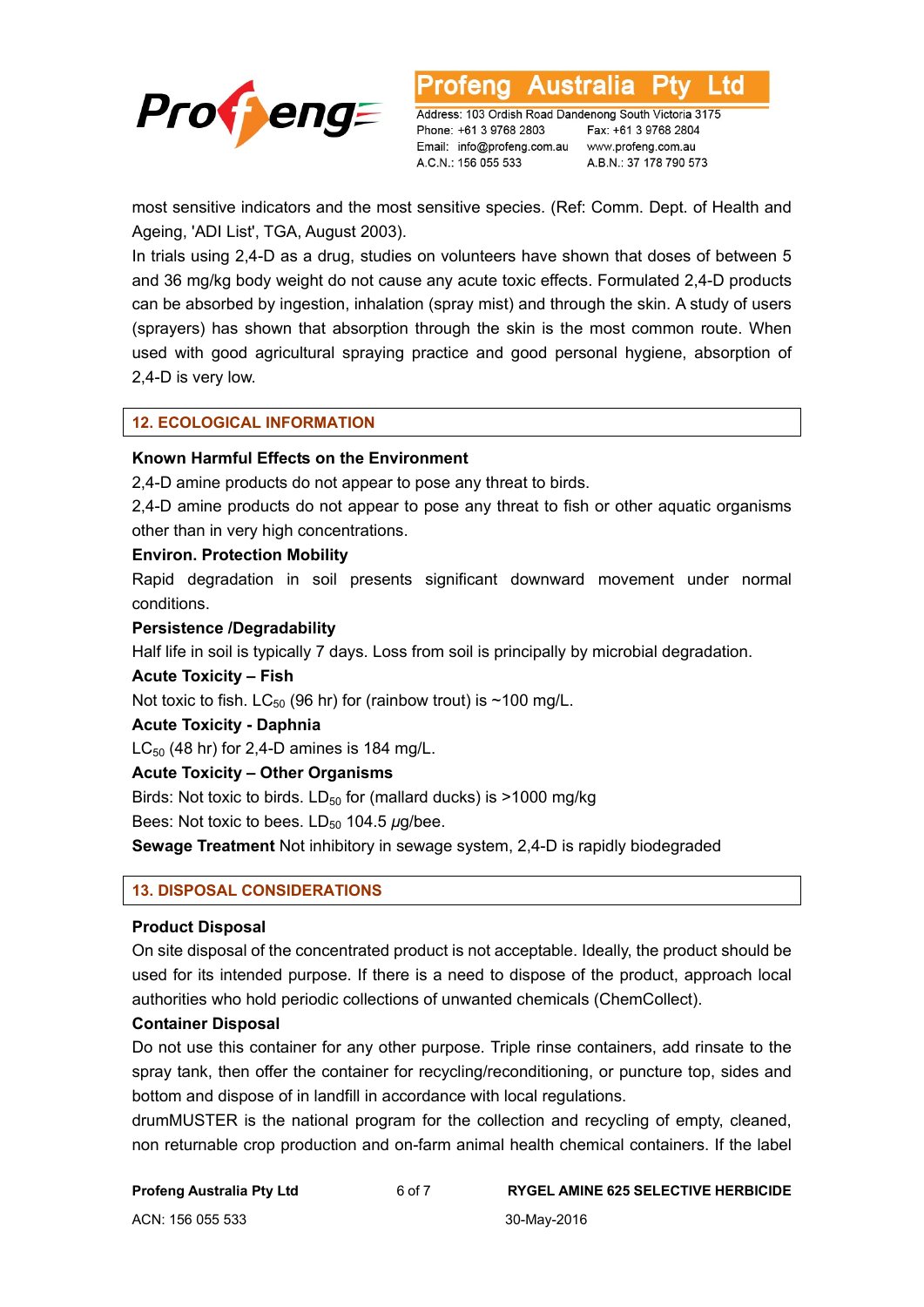

td

Address: 103 Ordish Road Dandenong South Victoria 3175 Phone: +61 3 9768 2803 Email: info@profeng.com.au www.profeng.com.au A.C.N.: 156 055 533

Fax: +61 3 9768 2804 A.B.N.: 37 178 790 573

most sensitive indicators and the most sensitive species. (Ref: Comm. Dept. of Health and Ageing, 'ADI List', TGA, August 2003).

In trials using 2,4-D as a drug, studies on volunteers have shown that doses of between 5 and 36 mg/kg body weight do not cause any acute toxic effects. Formulated 2,4-D products can be absorbed by ingestion, inhalation (spray mist) and through the skin. A study of users (sprayers) has shown that absorption through the skin is the most common route. When used with good agricultural spraying practice and good personal hygiene, absorption of 2,4-D is very low.

# **12. ECOLOGICAL INFORMATION**

### **Known Harmful Effects on the Environment**

2,4-D amine products do not appear to pose any threat to birds.

2,4-D amine products do not appear to pose any threat to fish or other aquatic organisms other than in very high concentrations.

#### **Environ. Protection Mobility**

Rapid degradation in soil presents significant downward movement under normal conditions.

#### **Persistence /Degradability**

Half life in soil is typically 7 days. Loss from soil is principally by microbial degradation.

#### **Acute Toxicity – Fish**

Not toxic to fish.  $LC_{50}$  (96 hr) for (rainbow trout) is ~100 mg/L.

#### **Acute Toxicity - Daphnia**

 $LC_{50}$  (48 hr) for 2,4-D amines is 184 mg/L.

#### **Acute Toxicity – Other Organisms**

Birds: Not toxic to birds.  $LD_{50}$  for (mallard ducks) is >1000 mg/kg

Bees: Not toxic to bees. LD<sub>50</sub> 104.5 *μ*g/bee.

**Sewage Treatment** Not inhibitory in sewage system, 2,4-D is rapidly biodegraded

#### **13. DISPOSAL CONSIDERATIONS**

#### **Product Disposal**

On site disposal of the concentrated product is not acceptable. Ideally, the product should be used for its intended purpose. If there is a need to dispose of the product, approach local authorities who hold periodic collections of unwanted chemicals (ChemCollect).

#### **Container Disposal**

Do not use this container for any other purpose. Triple rinse containers, add rinsate to the spray tank, then offer the container for recycling/reconditioning, or puncture top, sides and bottom and dispose of in landfill in accordance with local regulations.

drumMUSTER is the national program for the collection and recycling of empty, cleaned, non returnable crop production and on-farm animal health chemical containers. If the label